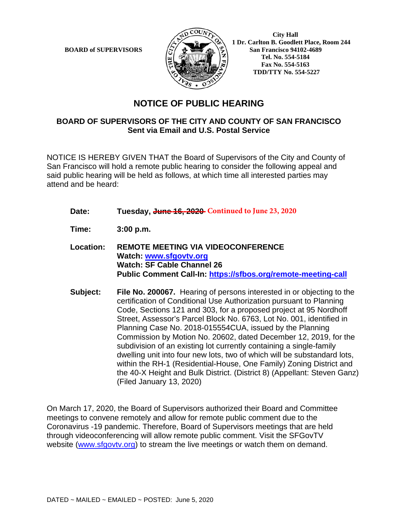

 **City Hall 1 Dr. Carlton B. Goodlett Place, Room 244 BOARD of SUPERVISORS**  $\left(\frac{S}{I}\right)$   $\oplus$   $\left(\frac{S}{I}\right)$  San Francisco 94102-4689  **Tel. No. 554-5184 Fax No. 554-5163 TDD/TTY No. 554-5227**

## **NOTICE OF PUBLIC HEARING**

## **BOARD OF SUPERVISORS OF THE CITY AND COUNTY OF SAN FRANCISCO Sent via Email and U.S. Postal Service**

NOTICE IS HEREBY GIVEN THAT the Board of Supervisors of the City and County of San Francisco will hold a remote public hearing to consider the following appeal and said public hearing will be held as follows, at which time all interested parties may attend and be heard:

- Date: Tuesday, **June 16, 2020** Continued to June 23, 2020
- **Time: 3:00 p.m.**
- **Location: REMOTE MEETING VIA VIDEOCONFERENCE Watch: www.sfgovtv.org Watch: SF Cable Channel 26 Public Comment Call-In: https://sfbos.org/remote-meeting-call**
- **Subject: File No. 200067.** Hearing of persons interested in or objecting to the certification of Conditional Use Authorization pursuant to Planning Code, Sections 121 and 303, for a proposed project at 95 Nordhoff Street, Assessor's Parcel Block No. 6763, Lot No. 001, identified in Planning Case No. 2018-015554CUA, issued by the Planning Commission by Motion No. 20602, dated December 12, 2019, for the subdivision of an existing lot currently containing a single-family dwelling unit into four new lots, two of which will be substandard lots, within the RH-1 (Residential-House, One Family) Zoning District and the 40-X Height and Bulk District. (District 8) (Appellant: Steven Ganz) (Filed January 13, 2020)

On March 17, 2020, the Board of Supervisors authorized their Board and Committee meetings to convene remotely and allow for remote public comment due to the Coronavirus -19 pandemic. Therefore, Board of Supervisors meetings that are held through videoconferencing will allow remote public comment. Visit the SFGovTV website (www.sfgovtv.org) to stream the live meetings or watch them on demand.